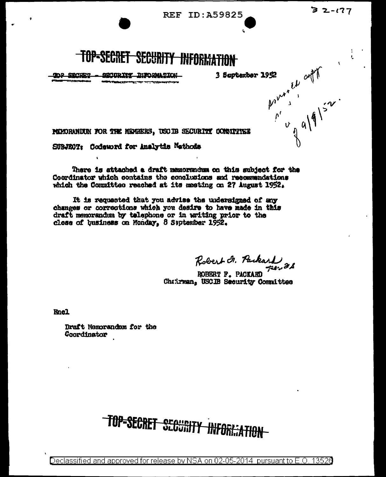$32 - 177$ 

Ą.

**REF ID: A59825** 



SWIDTHY DIFORMATION **TOP SECRET ...** مصحبه

pointed out 3 September 1952

PERORANDIN FOR THE MERGERS, USOIB SECURITY COMMITINEE

SUBJECT: Codeword for Analytic Mathods

There is attached a draft memorandum on this subject for the Coordinator which contains the conclusions and recommendations which the Committee resched at its meeting on 27 August 1952.

It is requested that you advise the undersigned of any changes or corrections which you desire to have made in this draft memorandum by telephone or in writing prior to the close of business on Monday. 8 September 1952.

Robert F. Packard 88

ROBERT F. PACKARD Chatrman, USCIB Security Committee

**Encl** 

Draft Memorandum for the Coordinator

# TOP=SECRET SCOURITY INFORMATION

Declassified and approved for release by NSA on 02-05-2014  $\,$  pursuant to E.O. 13520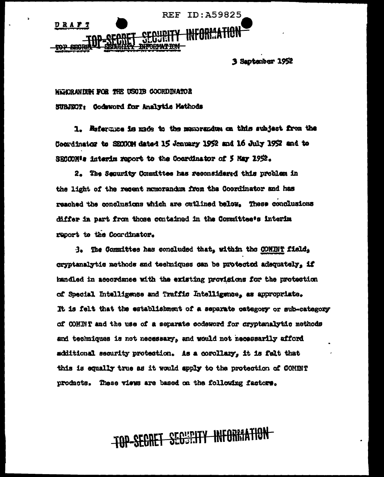**REF ID: A59825** D R A F T mp spa

3 Santanber 1952

**WEDRANDING FOR THE USODE COORDINATOR** SUBJECT: Codmord for Analytic Mathods

1. Reference is made to the manorandum on this subject from the Coordinator to SECORM dated 15 Jeanuary 1952 and 16 July 1952 and to SECON's interim report to the Coerdinator of 5 May 1952.

2. The Security Committee has resonsidered this problem in the light of the recent momorandum from the Coordinator and has reached the conclusions which are outlined below. These conclusions differ in part from those contained in the Committee's interim report to the Coordinator.

3. The Committee has concluded that, within the CONDN'T field, cryptanalytic methods and techniques can be protected adequately, if handled in accordance with the existing provisions for the protection of Special Intelligence and Traffic Intelligence, as appropriate. It is felt that the establishment of a separate category or sub-category of COMBIT and the use of a separate codeword for cryptanalytic methods and techniques is not necessary, and would not necessarily afford additional security protection. As a corollary, it is falt that this is equally true as it would apply to the protection of COMINT products. These views are based on the following factors.

## TOP-SECRET SECURITY INFORMATION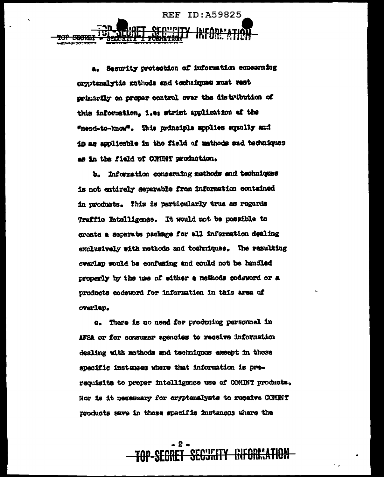**REF ID: A59825 SRORE** 

> a. Security protection of information concerning dryptenalytic mathods and techniques wat rest primarily on proper control over the distribution of this information, i.e: strict application of the Whend-to-know". This principle applies equally and is as applicable in the field of mathods and techniques as in the field of CONDAT production.

> b. Information conserning methods and techniques is not entirely separable from information contained in products. This is particularly true as regards Traffic Intelligence. It would not be possible to create a separate package for all information dealing exclusively with methods and techniques. The resulting overlap would be confusing and could not be handled properly by the use of either a methods codeword or a products codeword for information in this area of overlap.

c. There is no need for producing personnel in AFSA or for consumer agencies to receive information dealing with mothods and techniques except in those specific instances where that information is prerequisite to proper intelligence use of COMINT products. Nor is it negessary for cryptanalysts to receive COMINT products save in those specific instances where the

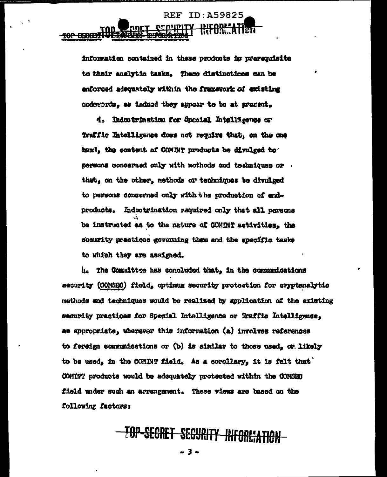information contained in these products is prerequisite to their analytic tasks. These distinctions can be enforced adequately within the framework of existing codewords. as indeed they appear to be at present.

 $REF$ 

ID: A59825

4. Indostrination for Special Intelligence or Traffic Intolligence does not require that, on the one hand, the content of COMINT products be divulged to persons concerned only with mothods and techniques or . that, on the other, methods or techniques be divulged to persons conserned only with the production of endproducts. Indoctrination required only that all persons be instructed as to the nature of COMINT activities. the security practices governing them and the specific tasks to which they are assigned.

4. The Committee has concluded that, in the communications security (COMSEC) field, optimum security protection for cryptenalytic methods and techniques would be realised by application of the existing security practices for Special Intelligence or Traffic Intelligence, as appropriate, wherever this information (a) involves references to foreign communications or (b) is similar to those used. or likely to be used, in the COMINT field. As a corollary, it is felt that COMINT products would be adequately protected within the COMSEC field under such an arrangement. These views are based on the following factors:

### TOP-SECRET SECURITY INFORMATION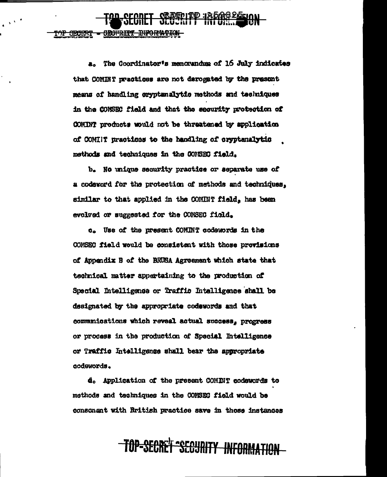a. The Coordinator's memorandum of 16 July indicates that COMINT neactices are not derogated by the presunt means of handling cryptenalytic methods and techniques in the COMSEC field and that the security protection of COMINT products would not be threatened by application of COMINT practices to the handling of cryptanalytic methods and techniques in the COMSEC field.

**SECRET SECTRITY INFORMATION** 

<del>SECHRITY</del>

b. No unique security practice or separate use of a codavord for the protection of methods and techniques. similar to that applied in the COMINT field, has been evolved or suggested for the COMSEC field.

c. Use of the present COMINT codewords in the COMSEC field would be consistent with those provisions of Appendix B of the BRUSA Agreement which state that technical matter appertaining to the production of Special Intelligence or Traffic Intelligence shall be designated by the appropriate codewords and that communications which reveal actual success, progress or process in the production of Special Intelligence or Traffic Intelligence shall bear the appropriate codewords.

d. Application of the present COMINT codewords to methods and techniques in the CONSEC field would be consonant with British practice save in those instances

## <del>-TAP-SEGAET SEGURITY INFORMATION</del>